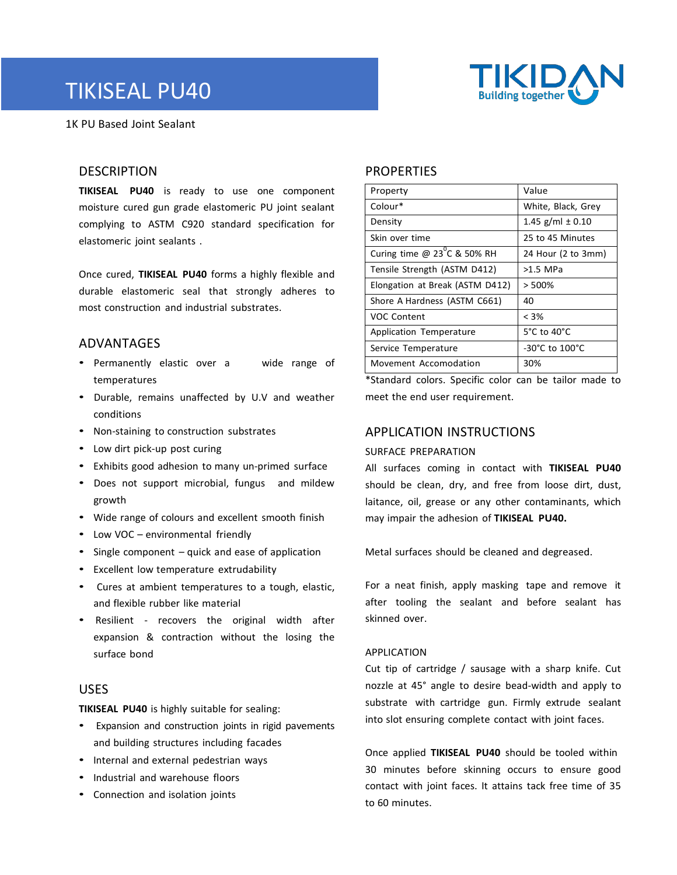# TIKISEAL PU40





## **DESCRIPTION**

**TIKISEAL PU40** is ready to use one component moisture cured gun grade elastomeric PU joint sealant complying to ASTM C920 standard specification for elastomeric joint sealants .

Once cured, **TIKISEAL PU40** forms a highly flexible and durable elastomeric seal that strongly adheres to most construction and industrial substrates.

#### ADVANTAGES

- Permanently elastic over a wide range of temperatures
- Durable, remains unaffected by U.V and weather conditions
- Non-staining to construction substrates
- Low dirt pick-up post curing
- Exhibits good adhesion to many un-primed surface
- Does not support microbial, fungus and mildew growth
- Wide range of colours and excellent smooth finish
- Low VOC environmental friendly
- Single component quick and ease of application
- Excellent low temperature extrudability
- Cures at ambient temperatures to a tough, elastic, and flexible rubber like material
- Resilient recovers the original width after expansion & contraction without the losing the surface bond

#### USES

**TIKISEAL PU40** is highly suitable for sealing:

- Expansion and construction joints in rigid pavements and building structures including facades
- Internal and external pedestrian ways
- Industrial and warehouse floors
- Connection and isolation joints

### **PROPERTIES**

| Property                              | Value                |
|---------------------------------------|----------------------|
| Colour*                               | White, Black, Grey   |
| Density                               | 1.45 g/ml $\pm$ 0.10 |
| Skin over time                        | 25 to 45 Minutes     |
| Curing time @ $23^{\circ}$ C & 50% RH | 24 Hour (2 to 3mm)   |
| Tensile Strength (ASTM D412)          | >1.5 MPa             |
| Elongation at Break (ASTM D412)       | > 500%               |
| Shore A Hardness (ASTM C661)          | 40                   |
| <b>VOC Content</b>                    | $< 3\%$              |
| Application Temperature               | 5°C to 40°C          |
| Service Temperature                   | -30°C to 100°C       |
| Movement Accomodation                 | 30%                  |

\*Standard colors. Specific color can be tailor made to meet the end user requirement.

### APPLICATION INSTRUCTIONS

#### SURFACE PREPARATION

All surfaces coming in contact with **TIKISEAL PU40** should be clean, dry, and free from loose dirt, dust, laitance, oil, grease or any other contaminants, which may impair the adhesion of **TIKISEAL PU40.**

Metal surfaces should be cleaned and degreased.

For a neat finish, apply masking tape and remove it after tooling the sealant and before sealant has skinned over.

#### APPLICATION

Cut tip of cartridge / sausage with a sharp knife. Cut nozzle at 45° angle to desire bead-width and apply to substrate with cartridge gun. Firmly extrude sealant into slot ensuring complete contact with joint faces.

Once applied **TIKISEAL PU40** should be tooled within 30 minutes before skinning occurs to ensure good contact with joint faces. It attains tack free time of 35 to 60 minutes.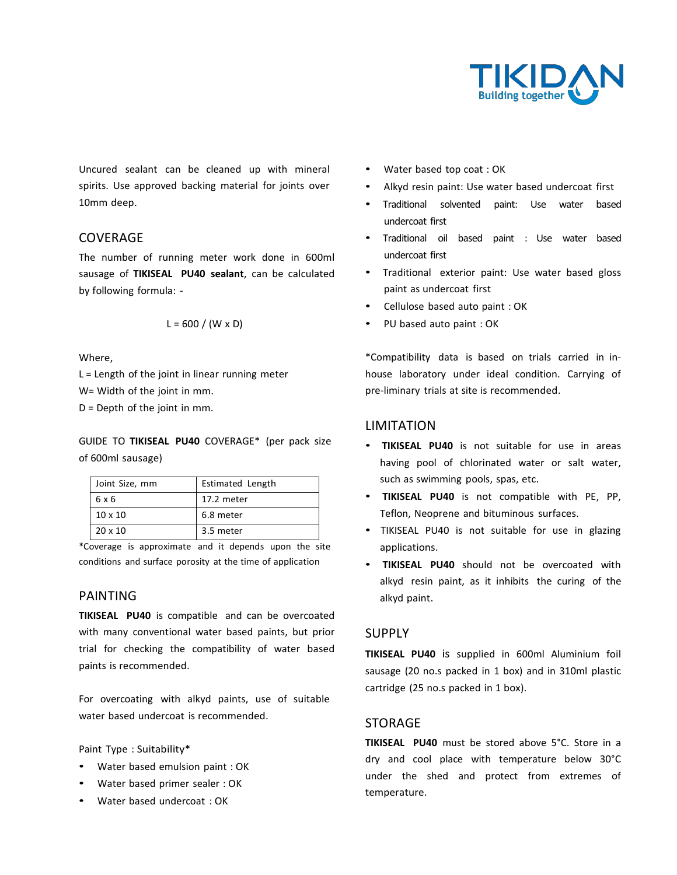

Uncured sealant can be cleaned up with mineral spirits. Use approved backing material for joints over 10mm deep.

#### **COVERAGE**

The number of running meter work done in 600ml sausage of **TIKISEAL PU40 sealant**, can be calculated by following formula: -

$$
L = 600 / (W \times D)
$$

Where,

L = Length of the joint in linear running meter W= Width of the joint in mm.

D = Depth of the joint in mm.

GUIDE TO **TIKISEAL PU40** COVERAGE\* (per pack size of 600ml sausage)

| Joint Size, mm | Estimated Length |
|----------------|------------------|
| 6 x 6          | 17.2 meter       |
| $10 \times 10$ | 6.8 meter        |
| $20 \times 10$ | 3.5 meter        |

\*Coverage is approximate and it depends upon the site conditions and surface porosity at the time of application

#### PAINTING

**TIKISEAL PU40** is compatible and can be overcoated with many conventional water based paints, but prior trial for checking the compatibility of water based paints is recommended.

For overcoating with alkyd paints, use of suitable water based undercoat is recommended.

Paint Type : Suitability\*

- Water based emulsion paint : OK
- Water based primer sealer : OK
- Water based undercoat : OK
- Water based top coat : OK
- Alkyd resin paint: Use water based undercoat first
- Traditional solvented paint: Use water based undercoat first
- Traditional oil based paint : Use water based undercoat first
- Traditional exterior paint: Use water based gloss paint as undercoat first
- Cellulose based auto paint : OK
- PU based auto paint : OK

\*Compatibility data is based on trials carried in inhouse laboratory under ideal condition. Carrying of pre-liminary trials at site is recommended.

#### LIMITATION

- **TIKISEAL PU40** is not suitable for use in areas having pool of chlorinated water or salt water, such as swimming pools, spas, etc.
- **TIKISEAL PU40** is not compatible with PE, PP, Teflon, Neoprene and bituminous surfaces.
- TIKISEAL PU40 is not suitable for use in glazing applications.
- **TIKISEAL PU40** should not be overcoated with alkyd resin paint, as it inhibits the curing of the alkyd paint.

#### SUPPLY

**TIKISEAL PU40** is supplied in 600ml Aluminium foil sausage (20 no.s packed in 1 box) and in 310ml plastic cartridge (25 no.s packed in 1 box).

#### STORAGE

**TIKISEAL PU40** must be stored above 5°C. Store in a dry and cool place with temperature below 30°C under the shed and protect from extremes of temperature.